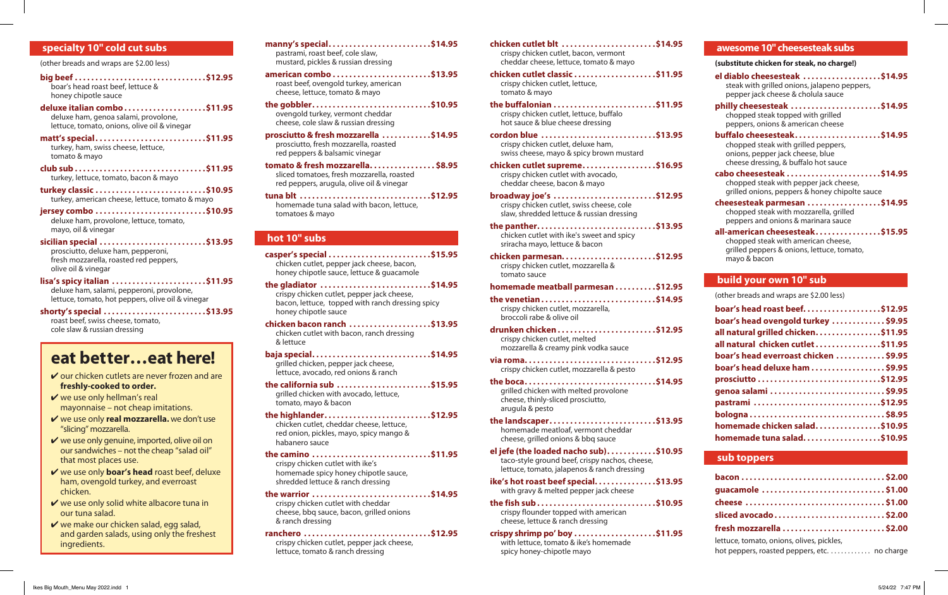# **specialty 10" cold cut subs**

(other breads and wraps are \$2.00 less)

**big beef . . . . . . . . . . . . . . . . . . . . . . . . . . . . . . . \$12.95** boar's head roast beef, lettuce & honey chipotle sauce

**deluxe italian combo . . . . . . . . . . . . . . . . . . . \$11.95** deluxe ham, genoa salami, provolone, lettuce, tomato, onions, olive oil & vinegar

**matt's special . . . . . . . . . . . . . . . . . . . . . . . . . . \$11.95** turkey, ham, swiss cheese, lettuce, tomato & mayo

**club sub . . . . . . . . . . . . . . . . . . . . . . . . . . . . . . . \$11.95** turkey, lettuce, tomato, bacon & mayo

**turkey classic . . . . . . . . . . . . . . . . . . . . . . . . . . \$10.95** turkey, american cheese, lettuce, tomato & mayo

**jersey combo . . . . . . . . . . . . . . . . . . . . . . . . . . \$10.95** deluxe ham, provolone, lettuce, tomato, mayo, oil & vinegar

**sicilian special . . . . . . . . . . . . . . . . . . . . . . . . . \$13.95** prosciutto, deluxe ham, pepperoni, fresh mozzarella, roasted red peppers, olive oil & vinegar

**lisa's spicy italian . . . . . . . . . . . . . . . . . . . . . . \$11.95** deluxe ham, salami, pepperoni, provolone, lettuce, tomato, hot peppers, olive oil & vinegar

**shorty's special . . . . . . . . . . . . . . . . . . . . . . . . \$13.95** roast beef, swiss cheese, tomato, cole slaw & russian dressing

# **eat better…eat here!**

 $\vee$  our chicken cutlets are never frozen and are **freshly-cooked to order.**

 $\vee$  we use only hellman's real mayonnaise – not cheap imitations.

4 we use only **real mozzarella.** we don't use "slicing" mozzarella.

 $\vee$  we use only genuine, imported, olive oil on our sandwiches – not the cheap "salad oil" that most places use.

4 we use only **boar's head** roast beef, deluxe ham, ovengold turkey, and everroast chicken.

 $\vee$  we use only solid white albacore tuna in our tuna salad.

 $\vee$  we make our chicken salad, egg salad, and garden salads, using only the freshest ingredients.

**manny's special . . . . . . . . . . . . . . . . . . . . . . . . \$14.95** pastrami, roast beef, cole slaw, mustard, pickles & russian dressing

**american combo . . . . . . . . . . . . . . . . . . . . . . . \$13.95** roast beef, ovengold turkey, american cheese, lettuce, tomato & mayo

**the gobbler . . . . . . . . . . . . . . . . . . . . . . . . . . . . \$10.95** ovengold turkey, vermont cheddar cheese, cole slaw & russian dressing

**prosciutto & fresh mozzarella . . . . . . . . . . . \$14.95** prosciutto, fresh mozzarella, roasted red peppers & balsamic vinegar

**tomato & fresh mozzarella . . . . . . . . . . . . . . . \$8.95** sliced tomatoes, fresh mozzarella, roasted red peppers, arugula, olive oil & vinegar

**tuna blt . . . . . . . . . . . . . . . . . . . . . . . . . . . . . . . \$12.95** homemade tuna salad with bacon, lettuce, tomatoes & mayo

### **hot 10" subs**

**casper's special . . . . . . . . . . . . . . . . . . . . . . . . \$15.95** chicken cutlet, pepper jack cheese, bacon, honey chipotle sauce, lettuce & guacamole

**the gladiator . . . . . . . . . . . . . . . . . . . . . . . . . . \$14.95** crispy chicken cutlet, pepper jack cheese, bacon, lettuce, topped with ranch dressing spicy honey chipotle sauce

**chicken bacon ranch . . . . . . . . . . . . . . . . . . . \$13.95** chicken cutlet with bacon, ranch dressing & lettuce

**baja special . . . . . . . . . . . . . . . . . . . . . . . . . . . . \$14.95** grilled chicken, pepper jack cheese, lettuce, avocado, red onions & ranch

**the california sub . . . . . . . . . . . . . . . . . . . . . . \$15.95** grilled chicken with avocado, lettuce, tomato, mayo & bacon

**the highlander . . . . . . . . . . . . . . . . . . . . . . . . . \$12.95** chicken cutlet, cheddar cheese, lettuce,

red onion, pickles, mayo, spicy mango & habanero sauce

**the camino . . . . . . . . . . . . . . . . . . . . . . . . . . . . \$11.95** crispy chicken cutlet with ike's homemade spicy honey chipotle sauce, shredded lettuce & ranch dressing

**the warrior . . . . . . . . . . . . . . . . . . . . . . . . . . . . \$14.95** crispy chicken cutlet with cheddar cheese, bbq sauce, bacon, grilled onions & ranch dressing

**ranchero . . . . . . . . . . . . . . . . . . . . . . . . . . . . . . \$12.95** crispy chicken cutlet, pepper jack cheese, lettuce, tomato & ranch dressing

**chicken cutlet blt . . . . . . . . . . . . . . . . . . . . . . \$14.95** crispy chicken cutlet, bacon, vermont cheddar cheese, lettuce, tomato & mayo

**chicken cutlet classic....................\$11.95** crispy chicken cutlet, lettuce, tomato & mayo

**the buffalonian . . . . . . . . . . . . . . . . . . . . . . . . \$11.95** crispy chicken cutlet, lettuce, buffalo hot sauce & blue cheese dressing

**cordon blue . . . . . . . . . . . . . . . . . . . . . . . . . . . \$13.95** crispy chicken cutlet, deluxe ham, swiss cheese, mayo & spicy brown mustard

**chicken cutlet supreme . . . . . . . . . . . . . . . . . \$16.95** crispy chicken cutlet with avocado, cheddar cheese, bacon & mayo

**broadway joe's . . . . . . . . . . . . . . . . . . . . . . . . \$12.95** crispy chicken cutlet, swiss cheese, cole slaw, shredded lettuce & russian dressing

**the panther . . . . . . . . . . . . . . . . . . . . . . . . . . . . \$13.95** chicken cutlet with ike's sweet and spicy sriracha mayo, lettuce & bacon

**chicken parmesan . . . . . . . . . . . . . . . . . . . . . . \$12.95** crispy chicken cutlet, mozzarella & tomato sauce

**homemade meatball parmesan . . . . . . . . . \$12.95**

- **the venetian . . . . . . . . . . . . . . . . . . . . . . . . . . . \$14.95** crispy chicken cutlet, mozzarella, broccoli rabe & olive oil
- **drunken chicken . . . . . . . . . . . . . . . . . . . . . . . \$12.95** crispy chicken cutlet, melted mozzarella & creamy pink vodka sauce

**via roma . . . . . . . . . . . . . . . . . . . . . . . . . . . . . . . \$12.95** crispy chicken cutlet, mozzarella & pesto

**the boca . . . . . . . . . . . . . . . . . . . . . . . . . . . . . . . \$14.95** grilled chicken with melted provolone cheese, thinly-sliced prosciutto, arugula & pesto

**the landscaper . . . . . . . . . . . . . . . . . . . . . . . . . \$13.95** homemade meatloaf, vermont cheddar cheese, grilled onions & bbq sauce

**el jefe (the loaded nacho sub) . . . . . . . . . . . \$10.95** taco-style ground beef, crispy nachos, cheese, lettuce, tomato, jalapenos & ranch dressing

**ike's hot roast beef special . . . . . . . . . . . . . . \$13.95** with gravy & melted pepper jack cheese

**the fish sub . . . . . . . . . . . . . . . . . . . . . . . . . . . . \$10.95** crispy flounder topped with american cheese, lettuce & ranch dressing

**crispy shrimp po' boy . . . . . . . . . . . . . . . . . . . \$11.95** with lettuce, tomato & ike's homemade spicy honey-chipotle mayo

#### **awesome 10" cheesesteak subs**

**(substitute chicken for steak, no charge!)**

**el diablo cheesesteak . . . . . . . . . . . . . . . . . . \$14.95** steak with grilled onions, jalapeno peppers, pepper jack cheese & cholula sauce

**philly cheesesteak . . . . . . . . . . . . . . . . . . . . . \$14.95** chopped steak topped with grilled peppers, onions & american cheese

**buffalo cheesesteak . . . . . . . . . . . . . . . . . . . . \$14.95** chopped steak with grilled peppers, onions, pepper jack cheese, blue cheese dressing, & buffalo hot sauce

**cabo cheesesteak . . . . . . . . . . . . . . . . . . . . . . \$14.95** chopped steak with pepper jack cheese, grilled onions, peppers & honey chipolte sauce

**cheesesteak parmesan . . . . . . . . . . . . . . . . . \$14.95** chopped steak with mozzarella, grilled peppers and onions & marinara sauce

**all-american cheesesteak . . . . . . . . . . . . . . . \$15.95** chopped steak with american cheese, grilled peppers & onions, lettuce, tomato, mayo & bacon

#### **build your own 10" sub**

(other breads and wraps are \$2.00 less)

| boar's head roast beef\$12.95        |
|--------------------------------------|
| boar's head ovengold turkey \$9.95   |
| all natural grilled chicken\$11.95   |
| all natural chicken cutlet\$11.95    |
| boar's head everroast chicken \$9.95 |
| boar's head deluxe ham \$9.95        |
|                                      |
| genoa salami \$9.95                  |
| pastrami \$12.95                     |
| bologna\$8.95                        |
| homemade chicken salad\$10.95        |
| homemade tuna salad\$10.95           |

# **sub toppers**

| guacamole \$1.00                          |  |
|-------------------------------------------|--|
|                                           |  |
| sliced avocado\$2.00                      |  |
|                                           |  |
| lettuce, tomato, onions, olives, pickles, |  |

hot peppers, roasted peppers, etc. . . . . . . . . . . . no charge